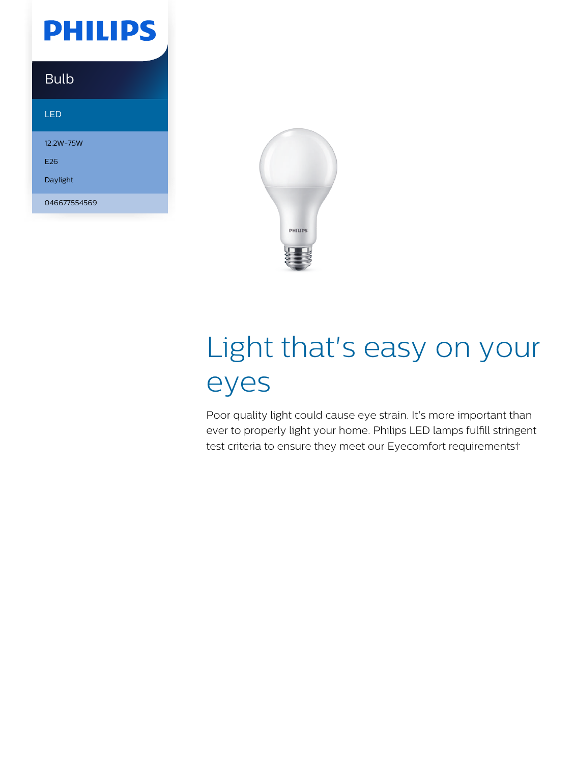

### Bulb

LED

12.2W-75W E26 Daylight 046677554569



# Light that's easy on your eyes

Poor quality light could cause eye strain. It's more important than ever to properly light your home. Philips LED lamps fulfill stringent test criteria to ensure they meet our Eyecomfort requirements†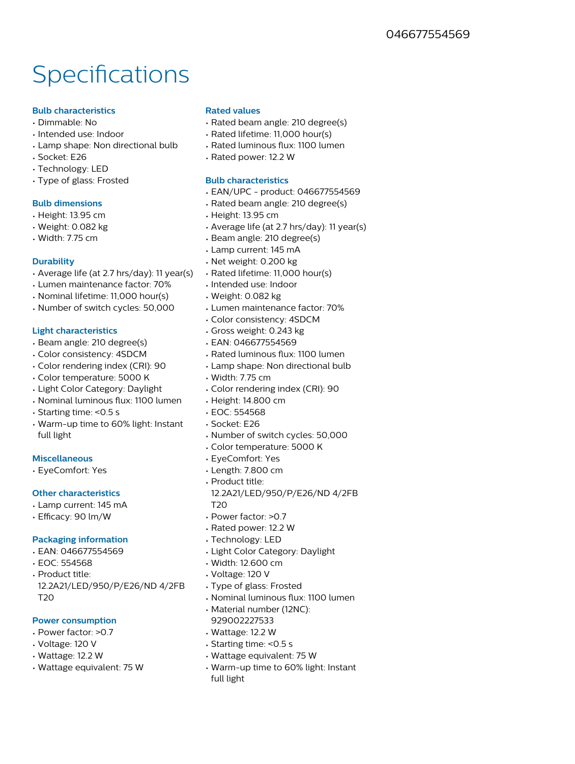## Specifications

#### **Bulb characteristics**

- Dimmable: No
- Intended use: Indoor
- Lamp shape: Non directional bulb
- Socket: E26
- Technology: LED
- Type of glass: Frosted

#### **Bulb dimensions**

- Height: 13.95 cm
- Weight: 0.082 kg
- Width: 7.75 cm

#### **Durability**

- Average life (at 2.7 hrs/day): 11 year(s)
- Lumen maintenance factor: 70%
- Nominal lifetime: 11,000 hour(s)
- Number of switch cycles: 50,000

#### **Light characteristics**

- Beam angle: 210 degree(s)
- Color consistency: 4SDCM
- Color rendering index (CRI): 90
- Color temperature: 5000 K
- Light Color Category: Daylight
- Nominal luminous flux: 1100 lumen
- Starting time: <0.5 s
- Warm-up time to 60% light: Instant full light

#### **Miscellaneous**

• EyeComfort: Yes

#### **Other characteristics**

- Lamp current: 145 mA
- Efficacy: 90 lm/W

#### **Packaging information**

- EAN: 046677554569
- EOC: 554568
- Product title: 12.2A21/LED/950/P/E26/ND 4/2FB T20

#### **Power consumption**

- Power factor: >0.7
- Voltage: 120 V
- Wattage: 12.2 W
- Wattage equivalent: 75 W

#### **Rated values**

- Rated beam angle: 210 degree(s)
- Rated lifetime: 11,000 hour(s)
- Rated luminous flux: 1100 lumen
- Rated power: 12.2 W

#### **Bulb characteristics**

- EAN/UPC product: 046677554569
- Rated beam angle: 210 degree(s)
- Height: 13.95 cm
- Average life (at 2.7 hrs/day): 11 year(s)
- Beam angle: 210 degree(s)
- Lamp current: 145 mA
- Net weight: 0.200 kg
- Rated lifetime: 11,000 hour(s)
- Intended use: Indoor
- Weight: 0.082 kg
- Lumen maintenance factor: 70%
- Color consistency: 4SDCM
- Gross weight: 0.243 kg
- EAN: 046677554569
- Rated luminous flux: 1100 lumen
- Lamp shape: Non directional bulb
- Width: 7.75 cm
- Color rendering index (CRI): 90
- Height: 14.800 cm
- EOC: 554568
- Socket: E26
- Number of switch cycles: 50,000
- Color temperature: 5000 K
- EyeComfort: Yes
- Length: 7.800 cm
- Product title:
- 12.2A21/LED/950/P/E26/ND 4/2FB T<sub>20</sub>
- Power factor: >0.7
- Rated power: 12.2 W
- Technology: LED
- Light Color Category: Daylight
- Width: 12.600 cm
- Voltage: 120 V
- Type of glass: Frosted
- Nominal luminous flux: 1100 lumen
- Material number (12NC):
- 929002227533
- Wattage: 12.2 W
- Starting time: <0.5 s
- Wattage equivalent: 75 W
- Warm-up time to 60% light: Instant full light